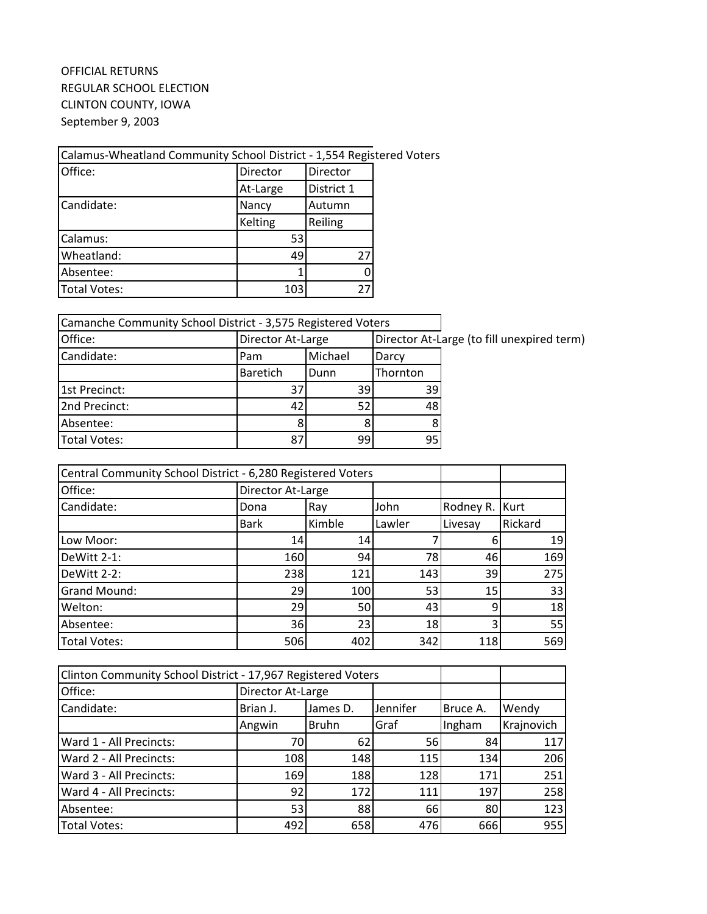## OFFICIAL RETURNS REGULAR SCHOOL ELECTION CLINTON COUNTY, IOWA September 9, 2003

## Calamus-Wheatland Community School District - 1,554 Registered Voters

| Office:      | Director | Director   |  |
|--------------|----------|------------|--|
|              | At-Large | District 1 |  |
| Candidate:   | Nancy    | Autumn     |  |
|              | Kelting  | Reiling    |  |
| Calamus:     | 53       |            |  |
| Wheatland:   | 49       | 27         |  |
| Absentee:    |          |            |  |
| Total Votes: | 103      | 27         |  |

| Camanche Community School District - 3,575 Registered Voters |                   |         |          |                                            |
|--------------------------------------------------------------|-------------------|---------|----------|--------------------------------------------|
| Office:                                                      | Director At-Large |         |          | Director At-Large (to fill unexpired term) |
| Candidate:                                                   | Pam               | Michael | Darcy    |                                            |
|                                                              | <b>Baretich</b>   | Dunn    | Thornton |                                            |
| 1st Precinct:                                                | 37                | 39I     | 39       |                                            |
| 2nd Precinct:                                                | 42                | 52I     | 48       |                                            |
| Absentee:                                                    |                   | 8       |          |                                            |
| <b>Total Votes:</b>                                          | 87                | 99      | 95       |                                            |

| Central Community School District - 6,280 Registered Voters |                   |        |        |           |         |
|-------------------------------------------------------------|-------------------|--------|--------|-----------|---------|
| Office:                                                     | Director At-Large |        |        |           |         |
| Candidate:                                                  | Dona              | Ray    | John   | Rodney R. | Kurt    |
|                                                             | <b>Bark</b>       | Kimble | Lawler | Livesay   | Rickard |
| Low Moor:                                                   | 14                | 14     |        |           | 19      |
| DeWitt 2-1:                                                 | 160               | 94     | 78     | 46        | 169     |
| DeWitt 2-2:                                                 | 238               | 121    | 143    | 39        | 275     |
| Grand Mound:                                                | 29                | 100    | 53     | 15        | 33      |
| Welton:                                                     | 29                | 50     | 43     | 9         | 18      |
| Absentee:                                                   | 36                | 23     | 18     | 3         | 55      |
| <b>Total Votes:</b>                                         | 506               | 402    | 342    | 118       | 569     |

| Clinton Community School District - 17,967 Registered Voters |                   |              |          |          |            |
|--------------------------------------------------------------|-------------------|--------------|----------|----------|------------|
| Office:                                                      | Director At-Large |              |          |          |            |
| Candidate:                                                   | Brian J.          | James D.     | Jennifer | Bruce A. | Wendy      |
|                                                              | Angwin            | <b>Bruhn</b> | Graf     | Ingham   | Krajnovich |
| Ward 1 - All Precincts:                                      | 70                | 62           | 56       | 84       | 117        |
| Ward 2 - All Precincts:                                      | 108               | 148          | 115      | 134      | 206        |
| Ward 3 - All Precincts:                                      | 169               | 188          | 128      | 171      | 251        |
| Ward 4 - All Precincts:                                      | 92                | 172          | 111      | 197      | 258        |
| Absentee:                                                    | 53                | 88           | 66       | 80       | 123        |
| <b>Total Votes:</b>                                          | 492               | 658          | 476      | 666      | 955        |